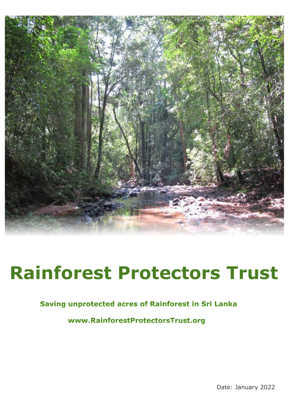

# **Rainforest Protectors Trust**

#### Saving unprotected acres of Rainforest in Sri Lanka

www.RainforestProtectorsTrust.org

Date: January 2022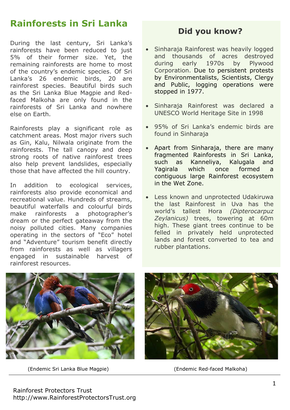## **Rainforests in Sri Lanka**

During the last century, Sri Lanka's rainforests have been reduced to just 5% of their former size. Yet, the remaining rainforests are home to most of the country's endemic species. Of Sri Lanka's 26 endemic birds, 20 are rainforest species. Beautiful birds such as the Sri Lanka Blue Magpie and Redfaced Malkoha are only found in the rainforests of Sri Lanka and nowhere else on Earth.

Rainforests play a significant role as catchment areas. Most major rivers such as Gin, Kalu, Nilwala originate from the rainforests. The tall canopy and deep strong roots of native rainforest trees also help prevent landslides, especially those that have affected the hill country.

In addition to ecological services, rainforests also provide economical and recreational value. Hundreds of streams, beautiful waterfalls and colourful birds make rainforests a photographer's dream or the perfect gateaway from the noisy polluted cities. Many companies operating in the sectors of "Eco" hotel and "Adventure" tourism benefit directly from rainforests as well as villagers engaged in sustainable harvest of rainforest resources.

### **Did you know?**

- Sinharaja Rainforest was heavily logged and thousands of acres destroyed during early 1970s by Plywood Corporation. Due to persistent protests by Environmentalists, Scientists, Clergy and Public, logging operations were stopped in 1977.
- Sinharaja Rainforest was declared a UNESCO World Heritage Site in 1998
- 95% of Sri Lanka's endemic birds are found in Sinharaja
- Apart from Sinharaja, there are many fragmented Rainforests in Sri Lanka, such as Kanneliya, Kalugala and Yagirala which once formed a contiguous large Rainforest ecosystem in the Wet Zone.
- Less known and unprotected Udakiruwa the last Rainforest in Uva has the world's tallest Hora *(Dipterocarpuz Zeylanicus)* trees, towering at 60m high. These giant trees continue to be felled in privately held unprotected lands and forest converted to tea and rubber plantations.



(Endemic Sri Lanka Blue Magpie) (Endemic Red-faced Malkoha)

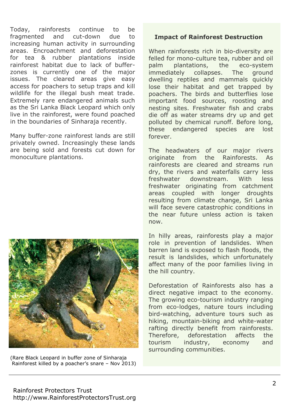Today, rainforests continue to be fragmented and cut-down due to increasing human activity in surrounding areas. Encroachment and deforestation for tea & rubber plantations inside rainforest habitat due to lack of bufferzones is currently one of the major issues. The cleared areas give easy access for poachers to setup traps and kill wildlife for the illegal bush meat trade. Extremely rare endangered animals such as the Sri Lanka Black Leopard which only live in the rainforest, were found poached in the boundaries of Sinharaja recently.

Many buffer-zone rainforest lands are still privately owned. Increasingly these lands are being sold and forests cut down for monoculture plantations.



 (Rare Black Leopard in buffer zone of Sinharaja Rainforest killed by a poacher's snare – Nov 2013)

#### **Impact of Rainforest Destruction**

When rainforests rich in bio-diversity are felled for mono-culture tea, rubber and oil palm plantations, the eco-system immediately collapses. The ground dwelling reptiles and mammals quickly lose their habitat and get trapped by poachers. The birds and butterflies lose important food sources, roosting and nesting sites. Freshwater fish and crabs die off as water streams dry up and get polluted by chemical runoff. Before long, these endangered species are lost forever.

The headwaters of our major rivers originate from the Rainforests. As rainforests are cleared and streams run dry, the rivers and waterfalls carry less freshwater downstream. With less freshwater originating from catchment areas coupled with longer droughts resulting from climate change, Sri Lanka will face severe catastrophic conditions in the near future unless action is taken now.

In hilly areas, rainforests play a major role in prevention of landslides. When barren land is exposed to flash floods, the result is landslides, which unfortunately affect many of the poor families living in the hill country.

Deforestation of Rainforests also has a direct negative impact to the economy. The growing eco-tourism industry ranging from eco-lodges, nature tours including bird-watching, adventure tours such as hiking, mountain-biking and white-water rafting directly benefit from rainforests. Therefore, deforestation affects the tourism industry, economy and surrounding communities.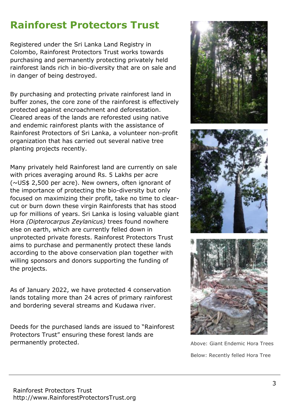# **Rainforest Protectors Trust**

Registered under the Sri Lanka Land Registry in Colombo, Rainforest Protectors Trust works towards purchasing and permanently protecting privately held rainforest lands rich in bio-diversity that are on sale and in danger of being destroyed.

By purchasing and protecting private rainforest land in buffer zones, the core zone of the rainforest is effectively protected against encroachment and deforestation. Cleared areas of the lands are reforested using native and endemic rainforest plants with the assistance of Rainforest Protectors of Sri Lanka, a volunteer non-profit organization that has carried out several native tree planting projects recently.

Many privately held Rainforest land are currently on sale with prices averaging around Rs. 5 Lakhs per acre (~US\$ 2,500 per acre). New owners, often ignorant of the importance of protecting the bio-diversity but only focused on maximizing their profit, take no time to clearcut or burn down these virgin Rainforests that has stood up for millions of years. Sri Lanka is losing valuable giant Hora *(Dipterocarpus Zeylanicus)* trees found nowhere else on earth, which are currently felled down in unprotected private forests. Rainforest Protectors Trust aims to purchase and permanently protect these lands according to the above conservation plan together with willing sponsors and donors supporting the funding of the projects.

As of January 2022, we have protected 4 conservation lands totaling more than 24 acres of primary rainforest and bordering several streams and Kudawa river.

Deeds for the purchased lands are issued to "Rainforest Protectors Trust" ensuring these forest lands are permanently protected. Above: Giant Endemic Hora Trees



Below: Recently felled Hora Tree